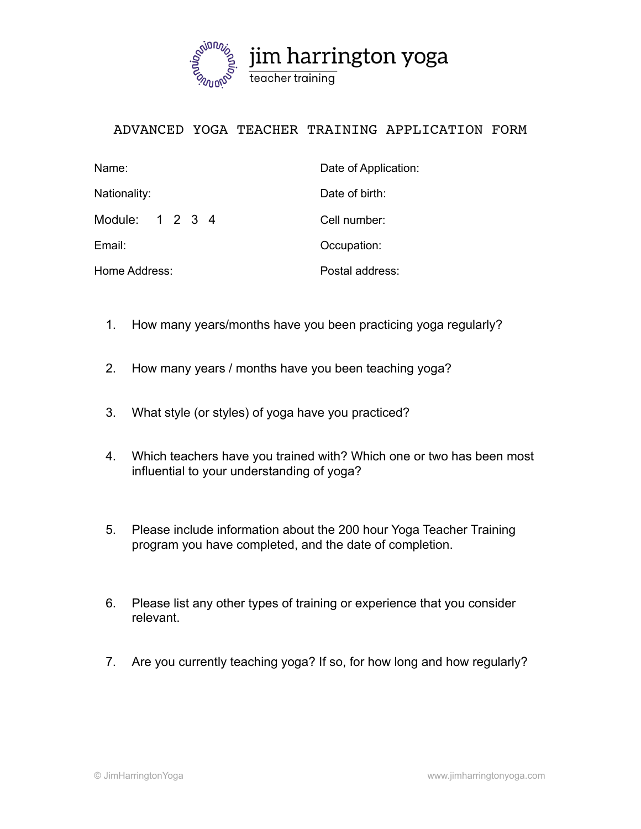

## ADVANCED YOGA TEACHER TRAINING APPLICATION FORM

| Date of Application:<br>Name: |                 |
|-------------------------------|-----------------|
| Nationality:                  | Date of birth:  |
| Module: 1 2 3 4               | Cell number:    |
| Email:                        | Occupation:     |
| Home Address:                 | Postal address: |

- 1. How many years/months have you been practicing yoga regularly?
- 2. How many years / months have you been teaching yoga?
- 3. What style (or styles) of yoga have you practiced?
- 4. Which teachers have you trained with? Which one or two has been most influential to your understanding of yoga?
- 5. Please include information about the 200 hour Yoga Teacher Training program you have completed, and the date of completion.
- 6. Please list any other types of training or experience that you consider relevant.
- 7. Are you currently teaching yoga? If so, for how long and how regularly?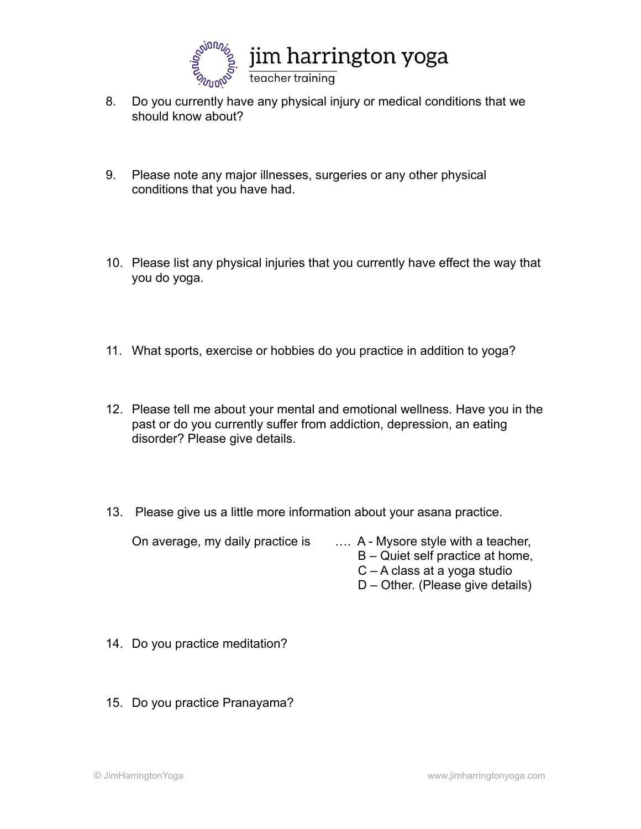

- 8. Do you currently have any physical injury or medical conditions that we should know about?
- 9. Please note any major illnesses, surgeries or any other physical conditions that you have had.
- 10. Please list any physical injuries that you currently have effect the way that you do yoga.
- 11. What sports, exercise or hobbies do you practice in addition to yoga?
- 12. Please tell me about your mental and emotional wellness. Have you in the past or do you currently suffer from addiction, depression, an eating disorder? Please give details.
- 13. Please give us a little more information about your asana practice.

On average, my daily practice is ... A - Mysore style with a teacher,

- B Quiet self practice at home,
- C A class at a yoga studio
- D Other. (Please give details)
- 14. Do you practice meditation?
- 15. Do you practice Pranayama?